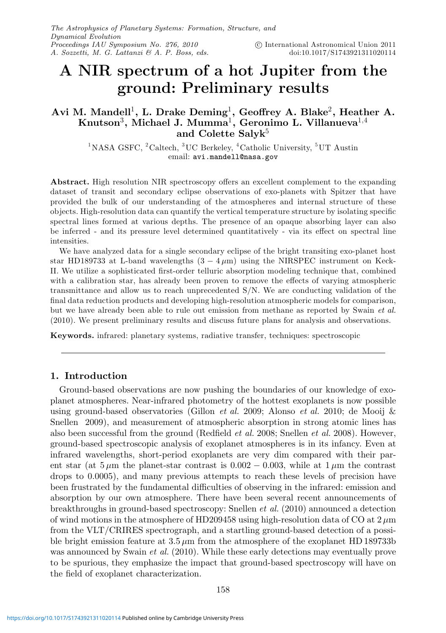# **A NIR spectrum of a hot Jupiter from the ground: Preliminary results**

# **Avi M. Mandell**1**, L. Drake Deming**1**, Geoffrey A. Blake**2**, Heather A. Knutson**3**, Michael J. Mumma**1**, Geronimo L. Villanueva**1,<sup>4</sup> and Colette Salyk<sup>5</sup>

<sup>1</sup>NASA GSFC, <sup>2</sup>Caltech, <sup>3</sup>UC Berkeley, <sup>4</sup>Catholic University, <sup>5</sup>UT Austin email: avi.mandell@nasa.gov

**Abstract.** High resolution NIR spectroscopy offers an excellent complement to the expanding dataset of transit and secondary eclipse observations of exo-planets with Spitzer that have provided the bulk of our understanding of the atmospheres and internal structure of these objects. High-resolution data can quantify the vertical temperature structure by isolating specific spectral lines formed at various depths. The presence of an opaque absorbing layer can also be inferred - and its pressure level determined quantitatively - via its effect on spectral line intensities.

We have analyzed data for a single secondary eclipse of the bright transiting exo-planet host star HD189733 at L-band wavelengths  $(3 - 4 \mu m)$  using the NIRSPEC instrument on Keck-II. We utilize a sophisticated first-order telluric absorption modeling technique that, combined with a calibration star, has already been proven to remove the effects of varying atmospheric transmittance and allow us to reach unprecedented S/N. We are conducting validation of the final data reduction products and developing high-resolution atmospheric models for comparison, but we have already been able to rule out emission from methane as reported by Swain et al. (2010). We present preliminary results and discuss future plans for analysis and observations.

**Keywords.** infrared: planetary systems, radiative transfer, techniques: spectroscopic

## **1. Introduction**

Ground-based observations are now pushing the boundaries of our knowledge of exoplanet atmospheres. Near-infrared photometry of the hottest exoplanets is now possible using ground-based observatories (Gillon *et al.* 2009; Alonso *et al.* 2010; de Mooij  $\&$ Snellen 2009), and measurement of atmospheric absorption in strong atomic lines has also been successful from the ground (Redfield *et al.* 2008; Snellen *et al.* 2008). However, ground-based spectroscopic analysis of exoplanet atmospheres is in its infancy. Even at infrared wavelengths, short-period exoplanets are very dim compared with their parent star (at  $5 \mu m$  the planet-star contrast is 0.002 – 0.003, while at  $1 \mu m$  the contrast drops to 0.0005), and many previous attempts to reach these levels of precision have been frustrated by the fundamental difficulties of observing in the infrared: emission and absorption by our own atmosphere. There have been several recent announcements of breakthroughs in ground-based spectroscopy: Snellen *et al.* (2010) announced a detection of wind motions in the atmosphere of HD209458 using high-resolution data of CO at  $2 \mu m$ from the VLT/CRIRES spectrograph, and a startling ground-based detection of a possible bright emission feature at  $3.5 \mu m$  from the atmosphere of the exoplanet HD 189733b was announced by Swain *et al.* (2010). While these early detections may eventually prove to be spurious, they emphasize the impact that ground-based spectroscopy will have on the field of exoplanet characterization.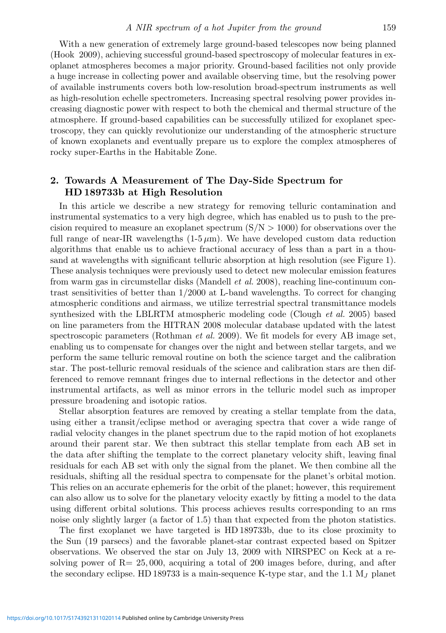With a new generation of extremely large ground-based telescopes now being planned (Hook 2009), achieving successful ground-based spectroscopy of molecular features in exoplanet atmospheres becomes a major priority. Ground-based facilities not only provide a huge increase in collecting power and available observing time, but the resolving power of available instruments covers both low-resolution broad-spectrum instruments as well as high-resolution echelle spectrometers. Increasing spectral resolving power provides increasing diagnostic power with respect to both the chemical and thermal structure of the atmosphere. If ground-based capabilities can be successfully utilized for exoplanet spectroscopy, they can quickly revolutionize our understanding of the atmospheric structure of known exoplanets and eventually prepare us to explore the complex atmospheres of rocky super-Earths in the Habitable Zone.

## **2. Towards A Measurement of The Day-Side Spectrum for HD 189733b at High Resolution**

In this article we describe a new strategy for removing telluric contamination and instrumental systematics to a very high degree, which has enabled us to push to the precision required to measure an exoplanet spectrum  $(S/N > 1000)$  for observations over the full range of near-IR wavelengths  $(1.5 \mu m)$ . We have developed custom data reduction algorithms that enable us to achieve fractional accuracy of less than a part in a thousand at wavelengths with significant telluric absorption at high resolution (see Figure 1). These analysis techniques were previously used to detect new molecular emission features from warm gas in circumstellar disks (Mandell et al. 2008), reaching line-continuum contrast sensitivities of better than 1/2000 at L-band wavelengths. To correct for changing atmospheric conditions and airmass, we utilize terrestrial spectral transmittance models synthesized with the LBLRTM atmospheric modeling code (Clough et al. 2005) based on line parameters from the HITRAN 2008 molecular database updated with the latest spectroscopic parameters (Rothman *et al.* 2009). We fit models for every AB image set, enabling us to compensate for changes over the night and between stellar targets, and we perform the same telluric removal routine on both the science target and the calibration star. The post-telluric removal residuals of the science and calibration stars are then differenced to remove remnant fringes due to internal reflections in the detector and other instrumental artifacts, as well as minor errors in the telluric model such as improper pressure broadening and isotopic ratios.

Stellar absorption features are removed by creating a stellar template from the data, using either a transit/eclipse method or averaging spectra that cover a wide range of radial velocity changes in the planet spectrum due to the rapid motion of hot exoplanets around their parent star. We then subtract this stellar template from each AB set in the data after shifting the template to the correct planetary velocity shift, leaving final residuals for each AB set with only the signal from the planet. We then combine all the residuals, shifting all the residual spectra to compensate for the planet's orbital motion. This relies on an accurate ephemeris for the orbit of the planet; however, this requirement can also allow us to solve for the planetary velocity exactly by fitting a model to the data using different orbital solutions. This process achieves results corresponding to an rms noise only slightly larger (a factor of 1.5) than that expected from the photon statistics.

The first exoplanet we have targeted is HD 189733b, due to its close proximity to the Sun (19 parsecs) and the favorable planet-star contrast expected based on Spitzer observations. We observed the star on July 13, 2009 with NIRSPEC on Keck at a resolving power of  $R = 25,000$ , acquiring a total of 200 images before, during, and after the secondary eclipse. HD 189733 is a main-sequence K-type star, and the 1.1  $M_J$  planet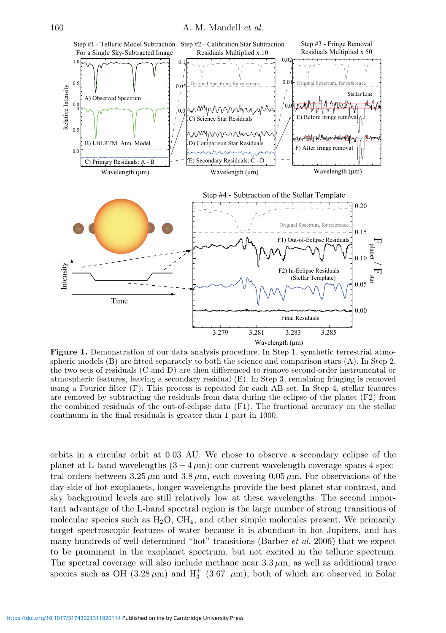

**Figure 1.** Demonstration of our data analysis procedure. In Step 1, synthetic terrestrial atmospheric models (B) are fitted separately to both the science and comparison stars (A). In Step 2, the two sets of residuals (C and D) are then differenced to remove second-order instrumental or atmospheric features, leaving a secondary residual (E). In Step 3, remaining fringing is removed using a Fourier filter (F). This process is repeated for each AB set. In Step 4, stellar features are removed by subtracting the residuals from data during the eclipse of the planet (F2) from the combined residuals of the out-of-eclipse data (F1). The fractional accuracy on the stellar continuum in the final residuals is greater than 1 part in 1000.

orbits in a circular orbit at 0.03 AU. We chose to observe a secondary eclipse of the planet at L-band wavelengths  $(3 - 4 \mu m)$ ; our current wavelength coverage spans 4 spectral orders between  $3.25 \,\mu \text{m}$  and  $3.8 \,\mu \text{m}$ , each covering  $0.05 \,\mu \text{m}$ . For observations of the day-side of hot exoplanets, longer wavelengths provide the best planet-star contrast, and sky background levels are still relatively low at these wavelengths. The second important advantage of the L-band spectral region is the large number of strong transitions of molecular species such as  $H_2O$ , CH<sub>4</sub>, and other simple molecules present. We primarily target spectroscopic features of water because it is abundant in hot Jupiters, and has many hundreds of well-determined "hot" transitions (Barber *et al.* 2006) that we expect to be prominent in the exoplanet spectrum, but not excited in the telluric spectrum. The spectral coverage will also include methane near  $3.3 \mu m$ , as well as additional trace species such as OH  $(3.28 \,\mu\text{m})$  and  $H_3^+$   $(3.67 \,\mu\text{m})$ , both of which are observed in Solar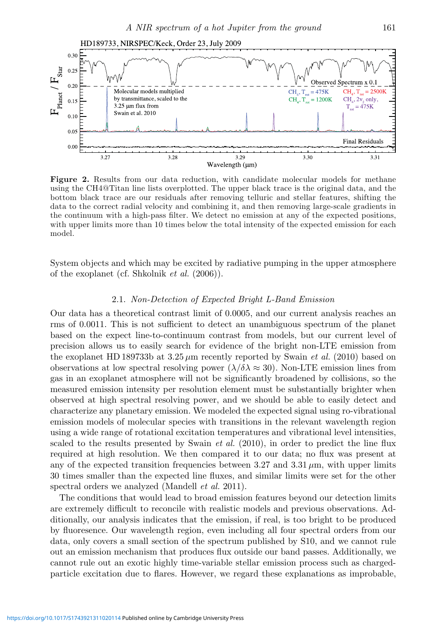

Figure 2. Results from our data reduction, with candidate molecular models for methane using the CH4@Titan line lists overplotted. The upper black trace is the original data, and the bottom black trace are our residuals after removing telluric and stellar features, shifting the data to the correct radial velocity and combining it, and then removing large-scale gradients in the continuum with a high-pass filter. We detect no emission at any of the expected positions, with upper limits more than 10 times below the total intensity of the expected emission for each model.

System objects and which may be excited by radiative pumping in the upper atmosphere of the exoplanet (cf. Shkolnik et al. (2006)).

#### 2.1. Non-Detection of Expected Bright L-Band Emission

Our data has a theoretical contrast limit of 0.0005, and our current analysis reaches an rms of 0.0011. This is not sufficient to detect an unambiguous spectrum of the planet based on the expect line-to-continuum contrast from models, but our current level of precision allows us to easily search for evidence of the bright non-LTE emission from the exoplanet HD 189733b at  $3.25 \mu m$  recently reported by Swain *et al.* (2010) based on observations at low spectral resolving power  $(\lambda/\delta \lambda \approx 30)$ . Non-LTE emission lines from gas in an exoplanet atmosphere will not be significantly broadened by collisions, so the measured emission intensity per resolution element must be substantially brighter when observed at high spectral resolving power, and we should be able to easily detect and characterize any planetary emission. We modeled the expected signal using ro-vibrational emission models of molecular species with transitions in the relevant wavelength region using a wide range of rotational excitation temperatures and vibrational level intensities, scaled to the results presented by Swain *et al.* (2010), in order to predict the line flux required at high resolution. We then compared it to our data; no flux was present at any of the expected transition frequencies between  $3.27$  and  $3.31 \mu$ m, with upper limits 30 times smaller than the expected line fluxes, and similar limits were set for the other spectral orders we analyzed (Mandell *et al.* 2011).

The conditions that would lead to broad emission features beyond our detection limits are extremely difficult to reconcile with realistic models and previous observations. Additionally, our analysis indicates that the emission, if real, is too bright to be produced by fluoresence. Our wavelength region, even including all four spectral orders from our data, only covers a small section of the spectrum published by S10, and we cannot rule out an emission mechanism that produces flux outside our band passes. Additionally, we cannot rule out an exotic highly time-variable stellar emission process such as chargedparticle excitation due to flares. However, we regard these explanations as improbable,